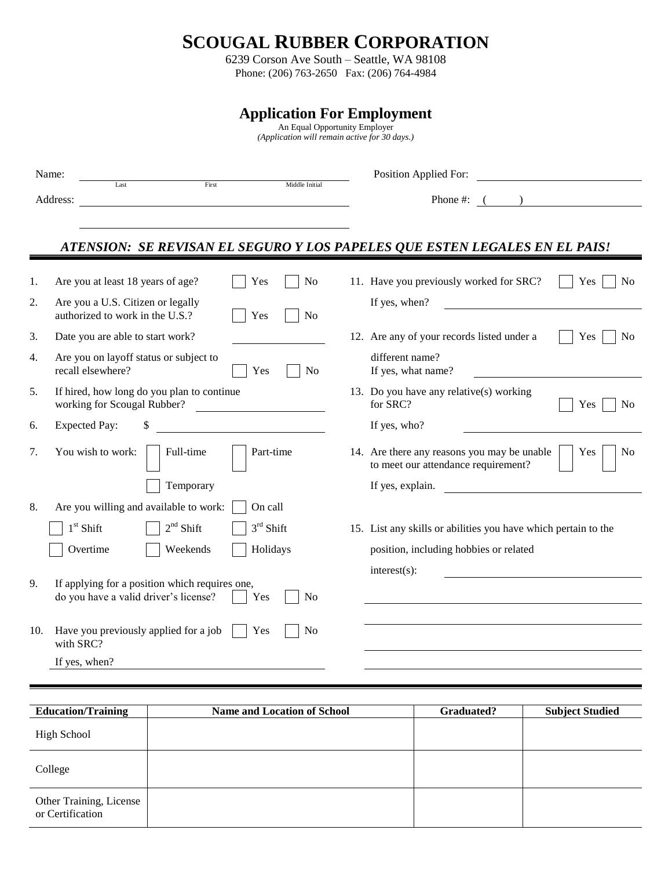## **SCOUGAL RUBBER CORPORATION**

6239 Corson Ave South – Seattle, WA 98108 Phone: (206) 763-2650 Fax: (206) 764-4984

**Application For Employment** An Equal Opportunity Employer *(Application will remain active for 30 days.)* Name: Last **Example 1** First Middle Initial Position Applied For: Middle Initial Address: Phone #: () *ATENSION: SE REVISAN EL SEGURO Y LOS PAPELES QUE ESTEN LEGALES EN EL PAIS!* 1. Are you at least 18 years of age? | | Yes | | No 11. Have you previously worked for SRC? | | Yes | | No 2. Are you a U.S. Citizen or legally If yes, when? authorized to work in the U.S.?  $\Box$  Yes  $\Box$  No 3. Date you are able to start work? 12. Are any of your records listed under a Yes No 4. Are you on layoff status or subject to different name? recall elsewhere?  $\vert$   $\vert$  Yes  $\vert$  No If yes, what name? 5. If hired, how long do you plan to continue 13. Do you have any relative(s) working working for Scougal Rubber? for SRC? The SEC of SRC? The Second Rubber of SRC? The Second Rubber of SRC? 6. Expected Pay: \$ If yes, who? 7. You wish to work: Full-time Part-time 14. Are there any reasons you may be unable to meet our attendance requirement? Yes No Temporary If yes, explain. 8. Are you willing and available to work:  $\vert$   $\vert$  On call  $1<sup>st</sup>$  Shift 2  $2<sup>nd</sup>$  Shift  $3<sup>rd</sup>$  Shift 15. List any skills or abilities you have which pertain to the Overtime Weekends Holidays position, including hobbies or related interest(s): 9. If applying for a position which requires one, do you have a valid driver's license? Yes No 10. Have you previously applied for a job  $\parallel$  Yes  $\parallel$  No with SRC? If yes, when?

| <b>Education/Training</b>                   | <b>Name and Location of School</b> | Graduated? | <b>Subject Studied</b> |
|---------------------------------------------|------------------------------------|------------|------------------------|
| <b>High School</b>                          |                                    |            |                        |
| College                                     |                                    |            |                        |
| Other Training, License<br>or Certification |                                    |            |                        |